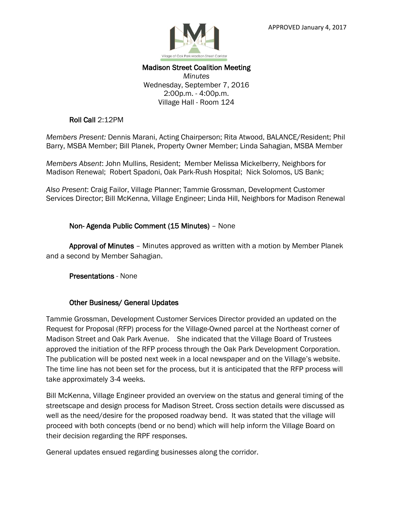

#### Madison Street Coalition Meeting *Minutes* Wednesday, September 7, 2016 2:00p.m. - 4:00p.m. Village Hall - Room 124

### Roll Call 2:12PM

*Members Present:* Dennis Marani, Acting Chairperson; Rita Atwood, BALANCE/Resident; Phil Barry, MSBA Member; Bill Planek, Property Owner Member; Linda Sahagian, MSBA Member

*Members Absent*: John Mullins, Resident; Member Melissa Mickelberry, Neighbors for Madison Renewal; Robert Spadoni, Oak Park-Rush Hospital; Nick Solomos, US Bank;

*Also Present*: Craig Failor, Village Planner; Tammie Grossman, Development Customer Services Director; Bill McKenna, Village Engineer; Linda Hill, Neighbors for Madison Renewal

## Non- Agenda Public Comment (15 Minutes) – None

 Approval of Minutes – Minutes approved as written with a motion by Member Planek and a second by Member Sahagian.

Presentations - None

#### Other Business/ General Updates

Tammie Grossman, Development Customer Services Director provided an updated on the Request for Proposal (RFP) process for the Village-Owned parcel at the Northeast corner of Madison Street and Oak Park Avenue. She indicated that the Village Board of Trustees approved the initiation of the RFP process through the Oak Park Development Corporation. The publication will be posted next week in a local newspaper and on the Village's website. The time line has not been set for the process, but it is anticipated that the RFP process will take approximately 3-4 weeks.

Bill McKenna, Village Engineer provided an overview on the status and general timing of the streetscape and design process for Madison Street. Cross section details were discussed as well as the need/desire for the proposed roadway bend. It was stated that the village will proceed with both concepts (bend or no bend) which will help inform the Village Board on their decision regarding the RPF responses.

General updates ensued regarding businesses along the corridor.